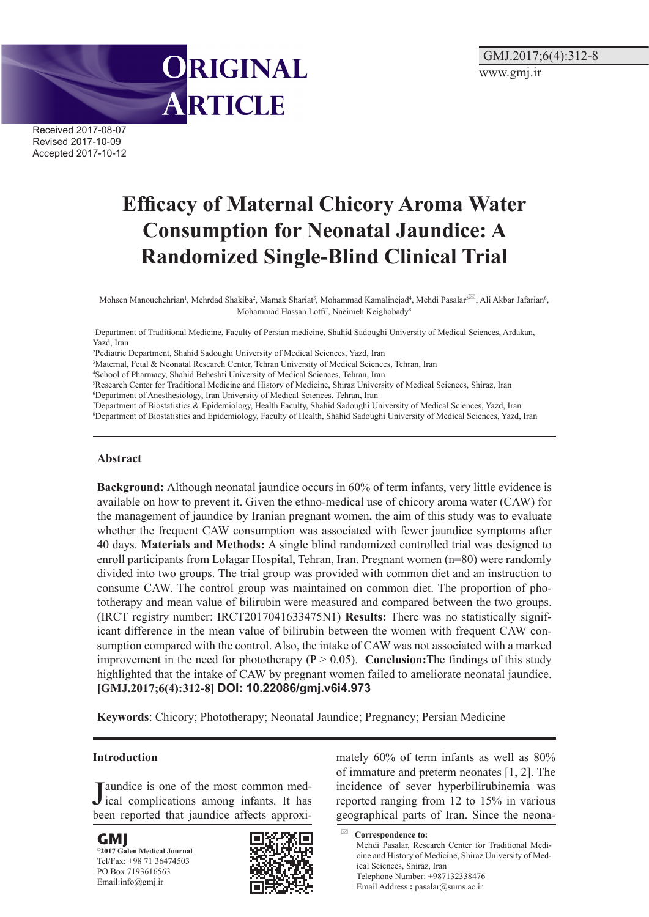Received 2017-08-07 Revised 2017-10-09 Accepted 2017-10-12

# **Efficacy of Maternal Chicory Aroma Water Consumption for Neonatal Jaundice: A Randomized Single-Blind Clinical Trial**

Mohsen Manouchehrian<sup>1</sup>, Mehrdad Shakiba<sup>2</sup>, Mamak Shariat<sup>3</sup>, Mohammad Kamalinejad<sup>4</sup>, Mehdi Pasalar<sup>§⊠</sup>, Ali Akbar Jafarian<sup>6</sup>, Mohammad Hassan Lotfi<sup>7</sup>, Naeimeh Keighobady<sup>8</sup>

1 Department of Traditional Medicine, Faculty of Persian medicine, Shahid Sadoughi University of Medical Sciences, Ardakan, Yazd, Iran

2 Pediatric Department, Shahid Sadoughi University of Medical Sciences, Yazd, Iran

ORIGINAL

ARTICLE

3 Maternal, Fetal & Neonatal Research Center, Tehran University of Medical Sciences, Tehran, Iran

- 4 School of Pharmacy, Shahid Beheshti University of Medical Sciences, Tehran, Iran
- 5 Research Center for Traditional Medicine and History of Medicine, Shiraz University of Medical Sciences, Shiraz, Iran
- 6 Department of Anesthesiology, Iran University of Medical Sciences, Tehran, Iran

7 Department of Biostatistics & Epidemiology, Health Faculty, Shahid Sadoughi University of Medical Sciences, Yazd, Iran 8 Department of Biostatistics and Epidemiology, Faculty of Health, Shahid Sadoughi University of Medical Sciences, Yazd, Iran

## **Abstract**

**Background:** Although neonatal jaundice occurs in 60% of term infants, very little evidence is available on how to prevent it. Given the ethno-medical use of chicory aroma water (CAW) for the management of jaundice by Iranian pregnant women, the aim of this study was to evaluate whether the frequent CAW consumption was associated with fewer jaundice symptoms after 40 days. **Materials and Methods:** A single blind randomized controlled trial was designed to enroll participants from Lolagar Hospital, Tehran, Iran. Pregnant women (n=80) were randomly divided into two groups. The trial group was provided with common diet and an instruction to consume CAW. The control group was maintained on common diet. The proportion of phototherapy and mean value of bilirubin were measured and compared between the two groups. (IRCT registry number: IRCT2017041633475N1) **Results:** There was no statistically significant difference in the mean value of bilirubin between the women with frequent CAW consumption compared with the control. Also, the intake of CAW was not associated with a marked improvement in the need for phototherapy  $(P > 0.05)$ . **Conclusion:** The findings of this study highlighted that the intake of CAW by pregnant women failed to ameliorate neonatal jaundice. **[GMJ.2017;6(4):312-8] [DOI: 10.22086/gmj.v6i4.973](http://dx.doi.org/10.22086/gmj.v6i4.973)**

**Keywords**: Chicory; Phototherapy; Neonatal Jaundice; Pregnancy; Persian Medicine

## **Introduction**

**J** aundice is one of the most common med-<br>ical complications among infants. It has ical complications among infants. It has been reported that jaundice affects approxi-

**GMJ ©2017 Galen Medical Journal** Tel/Fax: +98 71 36474503 PO Box 7193616563 Email:info@gmj.ir



mately 60% of term infants as well as 80% of immature and preterm neonates [1, 2]. The incidence of sever hyperbilirubinemia was reported ranging from 12 to 15% in various geographical parts of Iran. Since the neona-

**Correspondence to:** Mehdi Pasalar, Research Center for Traditional Medicine and History of Medicine, Shiraz University of Medical Sciences, Shiraz, Iran Telephone Number: +987132338476 Email Address **:** pasalar@sums.ac.ir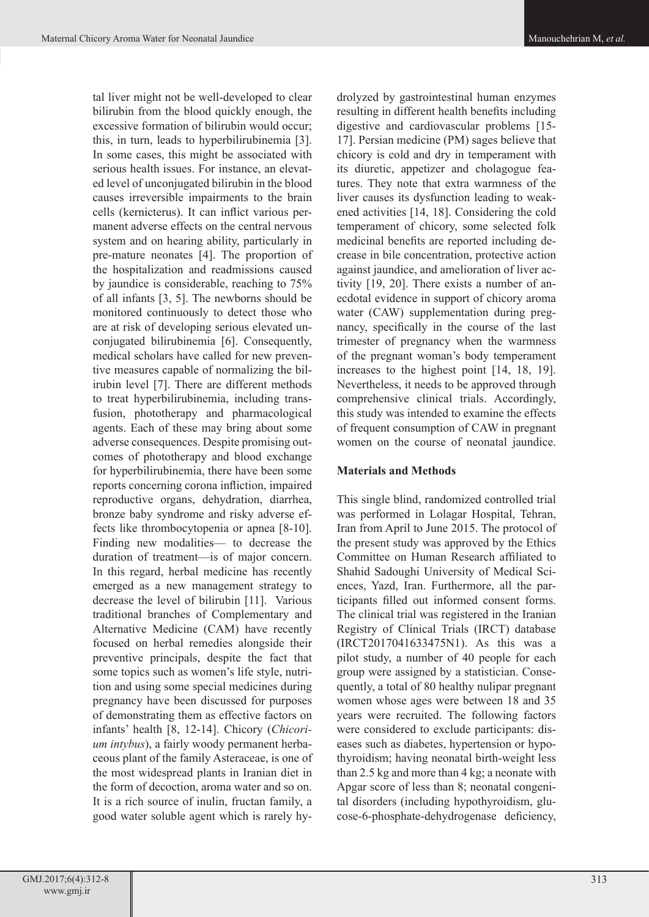tal liver might not be well-developed to clear bilirubin from the blood quickly enough, the excessive formation of bilirubin would occur; this, in turn, leads to hyperbilirubinemia [3]. In some cases, this might be associated with serious health issues. For instance, an elevated level of unconjugated bilirubin in the blood causes irreversible impairments to the brain cells (kernicterus). It can inflict various permanent adverse effects on the central nervous system and on hearing ability, particularly in pre-mature neonates [4]. The proportion of the hospitalization and readmissions caused by jaundice is considerable, reaching to 75% of all infants [3, 5]. The newborns should be monitored continuously to detect those who are at risk of developing serious elevated unconjugated bilirubinemia [6]. Consequently, medical scholars have called for new preventive measures capable of normalizing the bilirubin level [7]. There are different methods to treat hyperbilirubinemia, including transfusion, phototherapy and pharmacological agents. Each of these may bring about some adverse consequences. Despite promising outcomes of phototherapy and blood exchange for hyperbilirubinemia, there have been some reports concerning corona infliction, impaired reproductive organs, dehydration, diarrhea, bronze baby syndrome and risky adverse effects like thrombocytopenia or apnea [8-10]. Finding new modalities— to decrease the duration of treatment—is of major concern. In this regard, herbal medicine has recently emerged as a new management strategy to decrease the level of bilirubin [11]. Various traditional branches of Complementary and Alternative Medicine (CAM) have recently focused on herbal remedies alongside their preventive principals, despite the fact that some topics such as women's life style, nutrition and using some special medicines during pregnancy have been discussed for purposes of demonstrating them as effective factors on infants' health [8, 12-14]. Chicory (*Chicorium intybus*), a fairly woody permanent herbaceous plant of the family Asteraceae, is one of the most widespread plants in Iranian diet in the form of decoction, aroma water and so on. It is a rich source of inulin, fructan family, a good water soluble agent which is rarely hy-

drolyzed by gastrointestinal human enzymes resulting in different health benefits including digestive and cardiovascular problems [15- 17]. Persian medicine (PM) sages believe that chicory is cold and dry in temperament with its diuretic, appetizer and cholagogue features. They note that extra warmness of the liver causes its dysfunction leading to weakened activities [14, 18]. Considering the cold temperament of chicory, some selected folk medicinal benefits are reported including decrease in bile concentration, protective action against jaundice, and amelioration of liver activity [19, 20]. There exists a number of anecdotal evidence in support of chicory aroma water (CAW) supplementation during pregnancy, specifically in the course of the last trimester of pregnancy when the warmness of the pregnant woman's body temperament increases to the highest point [14, 18, 19]. Nevertheless, it needs to be approved through comprehensive clinical trials. Accordingly, this study was intended to examine the effects of frequent consumption of CAW in pregnant women on the course of neonatal jaundice.

## **Materials and Methods**

This single blind, randomized controlled trial was performed in Lolagar Hospital, Tehran, Iran from April to June 2015. The protocol of the present study was approved by the Ethics Committee on Human Research affiliated to Shahid Sadoughi University of Medical Sciences, Yazd, Iran. Furthermore, all the participants filled out informed consent forms. The clinical trial was registered in the Iranian Registry of Clinical Trials (IRCT) database (IRCT2017041633475N1). As this was a pilot study, a number of 40 people for each group were assigned by a statistician. Consequently, a total of 80 healthy nulipar pregnant women whose ages were between 18 and 35 years were recruited. The following factors were considered to exclude participants: diseases such as diabetes, hypertension or hypothyroidism; having neonatal birth-weight less than 2.5 kg and more than 4 kg; a neonate with Apgar score of less than 8; neonatal congenital disorders (including hypothyroidism, glucose-6-phosphate-dehydrogenase deficiency,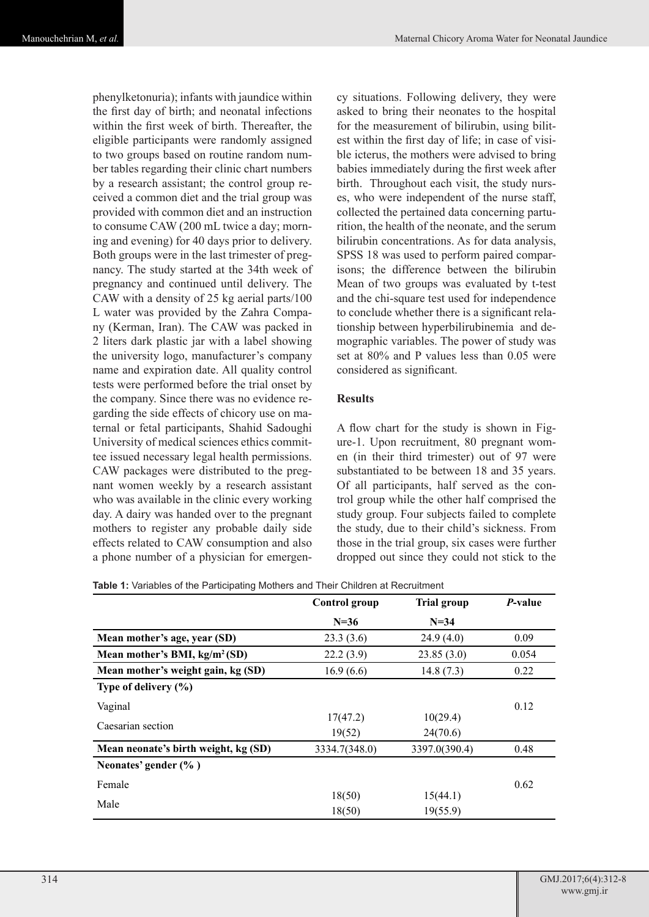phenylketonuria); infants with jaundice within the first day of birth; and neonatal infections within the first week of birth. Thereafter, the eligible participants were randomly assigned to two groups based on routine random number tables regarding their clinic chart numbers by a research assistant; the control group received a common diet and the trial group was provided with common diet and an instruction to consume CAW (200 mL twice a day; morning and evening) for 40 days prior to delivery. Both groups were in the last trimester of pregnancy. The study started at the 34th week of pregnancy and continued until delivery. The CAW with a density of 25 kg aerial parts/100 L water was provided by the Zahra Company (Kerman, Iran). The CAW was packed in 2 liters dark plastic jar with a label showing the university logo, manufacturer's company name and expiration date. All quality control tests were performed before the trial onset by the company. Since there was no evidence regarding the side effects of chicory use on maternal or fetal participants, Shahid Sadoughi University of medical sciences ethics committee issued necessary legal health permissions. CAW packages were distributed to the pregnant women weekly by a research assistant who was available in the clinic every working day. A dairy was handed over to the pregnant mothers to register any probable daily side effects related to CAW consumption and also a phone number of a physician for emergen-

cy situations. Following delivery, they were asked to bring their neonates to the hospital for the measurement of bilirubin, using bilitest within the first day of life; in case of visible icterus, the mothers were advised to bring babies immediately during the first week after birth. Throughout each visit, the study nurses, who were independent of the nurse staff, collected the pertained data concerning parturition, the health of the neonate, and the serum bilirubin concentrations. As for data analysis, SPSS 18 was used to perform paired comparisons; the difference between the bilirubin Mean of two groups was evaluated by t-test and the chi-square test used for independence to conclude whether there is a significant relationship between hyperbilirubinemia and demographic variables. The power of study was set at 80% and P values less than 0.05 were considered as significant.

## **Results**

A flow chart for the study is shown in Figure-1. Upon recruitment, 80 pregnant women (in their third trimester) out of 97 were substantiated to be between 18 and 35 years. Of all participants, half served as the control group while the other half comprised the study group. Four subjects failed to complete the study, due to their child's sickness. From those in the trial group, six cases were further dropped out since they could not stick to the

| <b>Table 1:</b> Variables of the Participating Mothers and Their Children at Recruitment |  |
|------------------------------------------------------------------------------------------|--|
|------------------------------------------------------------------------------------------|--|

|                                      | Control group | <b>Trial group</b> | <i>P</i> -value |
|--------------------------------------|---------------|--------------------|-----------------|
|                                      | $N=36$        | $N=34$             |                 |
| Mean mother's age, year (SD)         | 23.3(3.6)     | 24.9(4.0)          | 0.09            |
| Mean mother's BMI, $kg/m^2(SD)$      | 22.2(3.9)     | 23.85(3.0)         | 0.054           |
| Mean mother's weight gain, kg (SD)   | 16.9(6.6)     | 14.8(7.3)          | 0.22            |
| Type of delivery $(\% )$             |               |                    |                 |
| Vaginal                              |               |                    | 0.12            |
| Caesarian section                    | 17(47.2)      | 10(29.4)           |                 |
|                                      | 19(52)        | 24(70.6)           |                 |
| Mean neonate's birth weight, kg (SD) | 3334.7(348.0) | 3397.0(390.4)      | 0.48            |
| Neonates' gender $(\% )$             |               |                    |                 |
| Female                               |               |                    | 0.62            |
| Male                                 | 18(50)        | 15(44.1)           |                 |
|                                      | 18(50)        | 19(55.9)           |                 |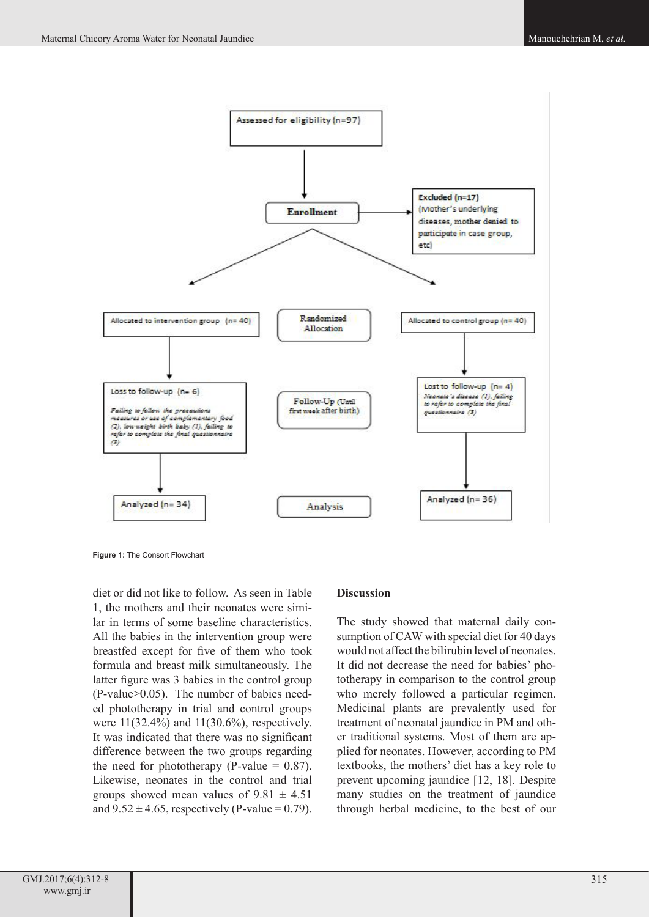

**Figure 1:** The Consort Flowchart

diet or did not like to follow. As seen in Table 1, the mothers and their neonates were similar in terms of some baseline characteristics. All the babies in the intervention group were breastfed except for five of them who took formula and breast milk simultaneously. The latter figure was 3 babies in the control group (P-value>0.05). The number of babies needed phototherapy in trial and control groups were 11(32.4%) and 11(30.6%), respectively. It was indicated that there was no significant difference between the two groups regarding the need for phototherapy (P-value  $= 0.87$ ). Likewise, neonates in the control and trial groups showed mean values of  $9.81 \pm 4.51$ and  $9.52 \pm 4.65$ , respectively (P-value = 0.79).

## **Discussion**

The study showed that maternal daily consumption of CAW with special diet for 40 days would not affect the bilirubin level of neonates. It did not decrease the need for babies' phototherapy in comparison to the control group who merely followed a particular regimen. Medicinal plants are prevalently used for treatment of neonatal jaundice in PM and other traditional systems. Most of them are applied for neonates. However, according to PM textbooks, the mothers' diet has a key role to prevent upcoming jaundice [12, 18]. Despite many studies on the treatment of jaundice through herbal medicine, to the best of our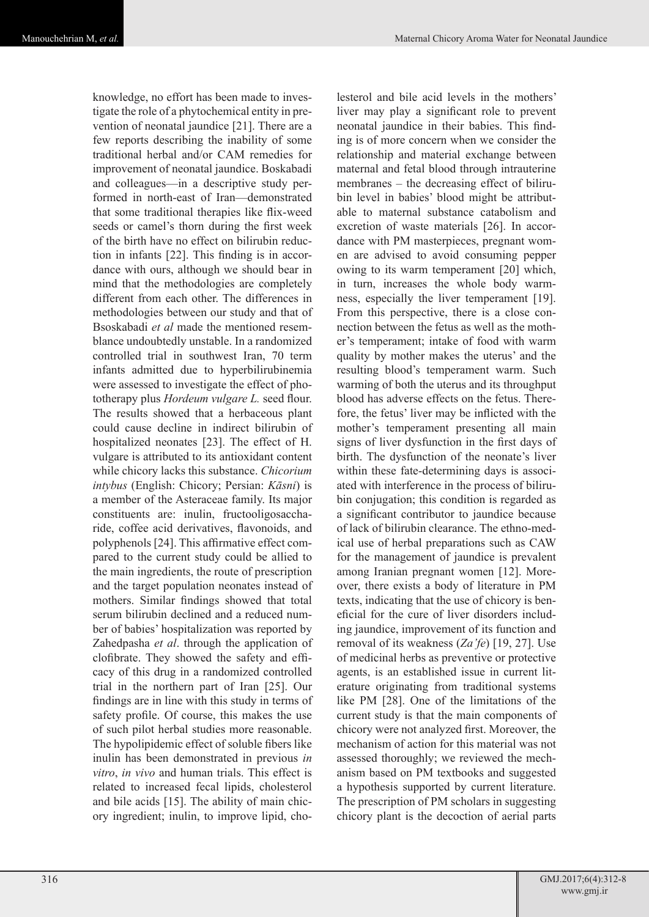knowledge, no effort has been made to investigate the role of a phytochemical entity in prevention of neonatal jaundice [21]. There are a few reports describing the inability of some traditional herbal and/or CAM remedies for improvement of neonatal jaundice. Boskabadi and colleagues—in a descriptive study performed in north-east of Iran—demonstrated that some traditional therapies like flix-weed seeds or camel's thorn during the first week of the birth have no effect on bilirubin reduction in infants [22]. This finding is in accordance with ours, although we should bear in mind that the methodologies are completely different from each other. The differences in methodologies between our study and that of Bsoskabadi *et al* made the mentioned resemblance undoubtedly unstable. In a randomized controlled trial in southwest Iran, 70 term infants admitted due to hyperbilirubinemia were assessed to investigate the effect of phototherapy plus *Hordeum vulgare L.* seed flour. The results showed that a herbaceous plant could cause decline in indirect bilirubin of hospitalized neonates [23]. The effect of H. vulgare is attributed to its antioxidant content while chicory lacks this substance. *Chicorium intybus* (English: Chicory; Persian: *Kāsni*) is a member of the Asteraceae family. Its major constituents are: inulin, fructooligosaccharide, coffee acid derivatives, flavonoids, and polyphenols [24]. This affirmative effect compared to the current study could be allied to the main ingredients, the route of prescription and the target population neonates instead of mothers. Similar findings showed that total serum bilirubin declined and a reduced number of babies' hospitalization was reported by Zahedpasha *et al*. through the application of clofibrate. They showed the safety and efficacy of this drug in a randomized controlled trial in the northern part of Iran [25]. Our findings are in line with this study in terms of safety profile. Of course, this makes the use of such pilot herbal studies more reasonable. The hypolipidemic effect of soluble fibers like inulin has been demonstrated in previous *in vitro*, *in vivo* and human trials. This effect is related to increased fecal lipids, cholesterol and bile acids [15]. The ability of main chicory ingredient; inulin, to improve lipid, cho-

lesterol and bile acid levels in the mothers' liver may play a significant role to prevent neonatal jaundice in their babies. This finding is of more concern when we consider the relationship and material exchange between maternal and fetal blood through intrauterine membranes – the decreasing effect of bilirubin level in babies' blood might be attributable to maternal substance catabolism and excretion of waste materials [26]. In accordance with PM masterpieces, pregnant women are advised to avoid consuming pepper owing to its warm temperament [20] which, in turn, increases the whole body warmness, especially the liver temperament [19]. From this perspective, there is a close connection between the fetus as well as the mother's temperament; intake of food with warm quality by mother makes the uterus' and the resulting blood's temperament warm. Such warming of both the uterus and its throughput blood has adverse effects on the fetus. Therefore, the fetus' liver may be inflicted with the mother's temperament presenting all main signs of liver dysfunction in the first days of birth. The dysfunction of the neonate's liver within these fate-determining days is associated with interference in the process of bilirubin conjugation; this condition is regarded as a significant contributor to jaundice because of lack of bilirubin clearance. The ethno-medical use of herbal preparations such as CAW for the management of jaundice is prevalent among Iranian pregnant women [12]. Moreover, there exists a body of literature in PM texts, indicating that the use of chicory is beneficial for the cure of liver disorders including jaundice, improvement of its function and removal of its weakness (*Za'fe*) [19, 27]. Use of medicinal herbs as preventive or protective agents, is an established issue in current literature originating from traditional systems like PM [28]. One of the limitations of the current study is that the main components of chicory were not analyzed first. Moreover, the mechanism of action for this material was not assessed thoroughly; we reviewed the mechanism based on PM textbooks and suggested a hypothesis supported by current literature. The prescription of PM scholars in suggesting chicory plant is the decoction of aerial parts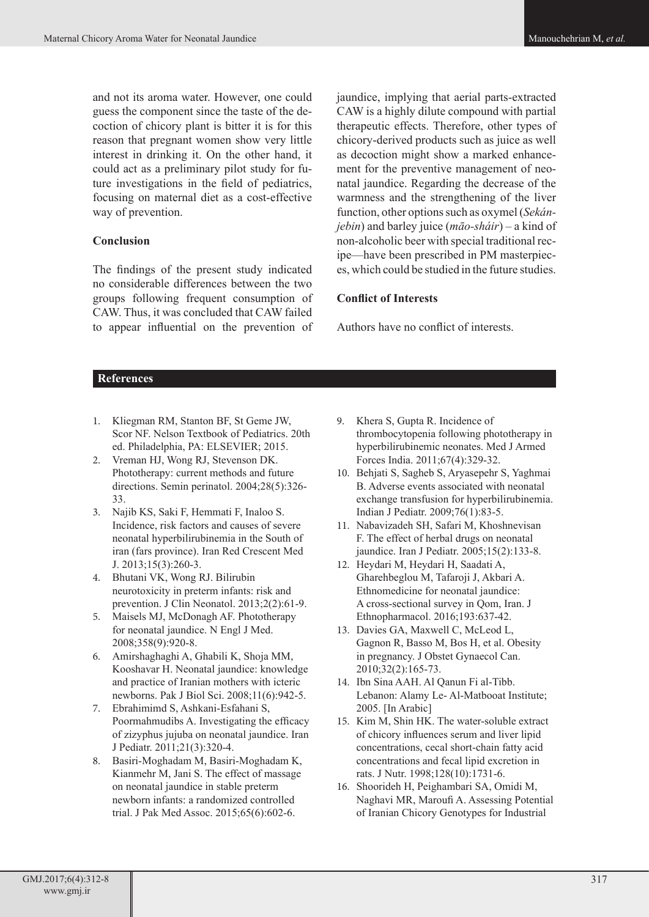and not its aroma water. However, one could guess the component since the taste of the decoction of chicory plant is bitter it is for this reason that pregnant women show very little interest in drinking it. On the other hand, it could act as a preliminary pilot study for future investigations in the field of pediatrics, focusing on maternal diet as a cost-effective way of prevention.

# **Conclusion**

The findings of the present study indicated no considerable differences between the two groups following frequent consumption of CAW. Thus, it was concluded that CAW failed to appear influential on the prevention of jaundice, implying that aerial parts-extracted CAW is a highly dilute compound with partial therapeutic effects. Therefore, other types of chicory-derived products such as juice as well as decoction might show a marked enhancement for the preventive management of neonatal jaundice. Regarding the decrease of the warmness and the strengthening of the liver function, other options such as oxymel (*Sekánjebin*) and barley juice (*māo-sháir*) – a kind of non-alcoholic beer with special traditional recipe—have been prescribed in PM masterpieces, which could be studied in the future studies.

# **Conflict of Interests**

Authors have no conflict of interests.

# **References**

- 1. Kliegman RM, Stanton BF, St Geme JW, Scor NF. Nelson Textbook of Pediatrics. 20th ed. Philadelphia, PA: ELSEVIER; 2015.
- 2. Vreman HJ, Wong RJ, Stevenson DK. Phototherapy: current methods and future directions. Semin perinatol. 2004;28(5):326- 33.
- 3. Najib KS, Saki F, Hemmati F, Inaloo S. Incidence, risk factors and causes of severe neonatal hyperbilirubinemia in the South of iran (fars province). Iran Red Crescent Med J. 2013;15(3):260-3.
- 4. Bhutani VK, Wong RJ. Bilirubin neurotoxicity in preterm infants: risk and prevention. J Clin Neonatol. 2013;2(2):61-9.
- 5. Maisels MJ, McDonagh AF. Phototherapy for neonatal jaundice. N Engl J Med. 2008;358(9):920-8.
- 6. Amirshaghaghi A, Ghabili K, Shoja MM, Kooshavar H. Neonatal jaundice: knowledge and practice of Iranian mothers with icteric newborns. Pak J Biol Sci. 2008;11(6):942-5.
- 7. Ebrahimimd S, Ashkani-Esfahani S, Poormahmudibs A. Investigating the efficacy of zizyphus jujuba on neonatal jaundice. Iran J Pediatr. 2011;21(3):320-4.
- 8. Basiri-Moghadam M, Basiri-Moghadam K, Kianmehr M, Jani S. The effect of massage on neonatal jaundice in stable preterm newborn infants: a randomized controlled trial. J Pak Med Assoc. 2015;65(6):602-6.
- 9. Khera S, Gupta R. Incidence of thrombocytopenia following phototherapy in hyperbilirubinemic neonates. Med J Armed Forces India. 2011;67(4):329-32.
- 10. Behjati S, Sagheb S, Aryasepehr S, Yaghmai B. Adverse events associated with neonatal exchange transfusion for hyperbilirubinemia. Indian J Pediatr. 2009;76(1):83-5.
- 11. Nabavizadeh SH, Safari M, Khoshnevisan F. The effect of herbal drugs on neonatal jaundice. Iran J Pediatr. 2005;15(2):133-8.
- 12. Heydari M, Heydari H, Saadati A, Gharehbeglou M, Tafaroji J, Akbari A. Ethnomedicine for neonatal jaundice: A cross-sectional survey in Qom, Iran. J Ethnopharmacol. 2016;193:637-42.
- 13. Davies GA, Maxwell C, McLeod L, Gagnon R, Basso M, Bos H, et al. Obesity in pregnancy. J Obstet Gynaecol Can. 2010;32(2):165-73.
- 14. Ibn Sina AAH. Al Qanun Fi al-Tibb. Lebanon: Alamy Le- Al-Matbooat Institute; 2005. [In Arabic]
- 15. Kim M, Shin HK. The water-soluble extract of chicory influences serum and liver lipid concentrations, cecal short-chain fatty acid concentrations and fecal lipid excretion in rats. J Nutr. 1998;128(10):1731-6.
- 16. Shoorideh H, Peighambari SA, Omidi M, Naghavi MR, Maroufi A. Assessing Potential of Iranian Chicory Genotypes for Industrial